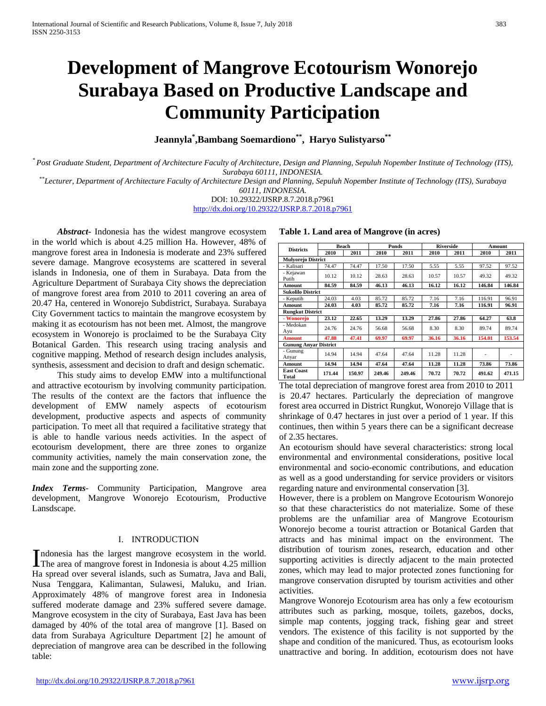# **Development of Mangrove Ecotourism Wonorejo Surabaya Based on Productive Landscape and Community Participation**

**Jeannyla\* ,Bambang Soemardiono\*\*, Haryo Sulistyarso\*\***

*\* Post Graduate Student, Department of Architecture Faculty of Architecture, Design and Planning, Sepuluh Nopember Institute of Technology (ITS), Surabaya 60111, INDONESIA. \*\*Lecturer, Department of Architecture Faculty of Architecture Design and Planning, Sepuluh Nopember Institute of Technology (ITS), Surabaya* 

*60111, INDONESIA.*

DOI: 10.29322/IJSRP.8.7.2018.p7961 <http://dx.doi.org/10.29322/IJSRP.8.7.2018.p7961>

*Abstract***-** Indonesia has the widest mangrove ecosystem in the world which is about 4.25 million Ha. However, 48% of mangrove forest area in Indonesia is moderate and 23% suffered severe damage. Mangrove ecosystems are scattered in several islands in Indonesia, one of them in Surabaya. Data from the Agriculture Department of Surabaya City shows the depreciation of mangrove forest area from 2010 to 2011 covering an area of 20.47 Ha, centered in Wonorejo Subdistrict, Surabaya. Surabaya City Government tactics to maintain the mangrove ecosystem by making it as ecotourism has not been met. Almost, the mangrove ecosystem in Wonorejo is proclaimed to be the Surabaya City Botanical Garden. This research using tracing analysis and cognitive mapping. Method of research design includes analysis, synthesis, assessment and decision to draft and design schematic.

This study aims to develop EMW into a multifunctional and attractive ecotourism by involving community participation. The results of the context are the factors that influence the development of EMW namely aspects of ecotourism development, productive aspects and aspects of community participation. To meet all that required a facilitative strategy that is able to handle various needs activities. In the aspect of ecotourism development, there are three zones to organize community activities, namely the main conservation zone, the main zone and the supporting zone.

*Index Terms*- Community Participation, Mangrove area development, Mangrove Wonorejo Ecotourism, Productive Lansdscape.

### I. INTRODUCTION

ndonesia has the largest mangrove ecosystem in the world. Indonesia has the largest mangrove ecosystem in the world.<br>The area of mangrove forest in Indonesia is about 4.25 million Ha spread over several islands, such as Sumatra, Java and Bali, Nusa Tenggara, Kalimantan, Sulawesi, Maluku, and Irian. Approximately 48% of mangrove forest area in Indonesia suffered moderate damage and 23% suffered severe damage. Mangrove ecosystem in the city of Surabaya, East Java has been damaged by 40% of the total area of mangrove [1]. Based on data from Surabaya Agriculture Department [2] he amount of depreciation of mangrove area can be described in the following table:

|  |  |  |  | Table 1. Land area of Mangrove (in acres) |  |  |
|--|--|--|--|-------------------------------------------|--|--|
|--|--|--|--|-------------------------------------------|--|--|

| <b>Districts</b>             | <b>Beach</b> |        | Ponds  |        | <b>Riverside</b> |       | Amount |        |
|------------------------------|--------------|--------|--------|--------|------------------|-------|--------|--------|
|                              | 2010         | 2011   | 2010   | 2011   | 2010             | 2011  | 2010   | 2011   |
| <b>Mulyorejo District</b>    |              |        |        |        |                  |       |        |        |
| - Kalisari                   | 74.47        | 74.47  | 17.50  | 17.50  | 5.55             | 5.55  | 97.52  | 97.52  |
| - Kejawan<br>Putih           | 10.12        | 10.12  | 28.63  | 28.63  | 10.57            | 10.57 | 49.32  | 49.32  |
| <b>Amount</b>                | 84.59        | 84.59  | 46.13  | 46.13  | 16.12            | 16.12 | 146.84 | 146.84 |
| <b>Sukolilo District</b>     |              |        |        |        |                  |       |        |        |
| - Keputih                    | 24.03        | 4.03   | 85.72  | 85.72  | 7.16             | 7.16  | 116.91 | 96.91  |
| Amount                       | 24.03        | 4.03   | 85.72  | 85.72  | 7.16             | 7.16  | 116.91 | 96.91  |
| <b>Rungkut District</b>      |              |        |        |        |                  |       |        |        |
| - Wonorejo                   | 23.12        | 22.65  | 13.29  | 13.29  | 27.86            | 27.86 | 64.27  | 63.8   |
| - Medokan<br>Ayu             | 24.76        | 24.76  | 56.68  | 56.68  | 8.30             | 8.30  | 89.74  | 89.74  |
| <b>Amount</b>                | 47.88        | 47.41  | 69.97  | 69.97  | 36.16            | 36.16 | 154.01 | 153.54 |
| <b>Gunung Anyar District</b> |              |        |        |        |                  |       |        |        |
| - Gunung<br>Anyar            | 14.94        | 14.94  | 47.64  | 47.64  | 11.28            | 11.28 |        |        |
| Amount                       | 14.94        | 14.94  | 47.64  | 47.64  | 11.28            | 11.28 | 73.86  | 73.86  |
| <b>East Coast</b><br>Total   | 171.44       | 150.97 | 249.46 | 249.46 | 70.72            | 70.72 | 491.62 | 471.15 |

The total depreciation of mangrove forest area from 2010 to 2011 is 20.47 hectares. Particularly the depreciation of mangrove forest area occurred in District Rungkut, Wonorejo Village that is shrinkage of 0.47 hectares in just over a period of 1 year. If this continues, then within 5 years there can be a significant decrease of 2.35 hectares.

An ecotourism should have several characteristics: strong local environmental and environmental considerations, positive local environmental and socio-economic contributions, and education as well as a good understanding for service providers or visitors regarding nature and environmental conservation [3].

However, there is a problem on Mangrove Ecotourism Wonorejo so that these characteristics do not materialize. Some of these problems are the unfamiliar area of Mangrove Ecotourism Wonorejo become a tourist attraction or Botanical Garden that attracts and has minimal impact on the environment. The distribution of tourism zones, research, education and other supporting activities is directly adjacent to the main protected zones, which may lead to major protected zones functioning for mangrove conservation disrupted by tourism activities and other activities.

Mangrove Wonorejo Ecotourism area has only a few ecotourism attributes such as parking, mosque, toilets, gazebos, docks, simple map contents, jogging track, fishing gear and street vendors. The existence of this facility is not supported by the shape and condition of the manicured. Thus, as ecotourism looks unattractive and boring. In addition, ecotourism does not have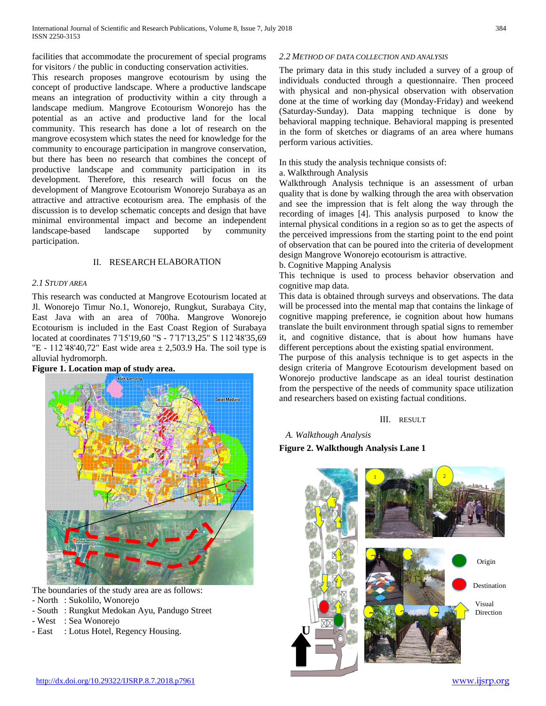facilities that accommodate the procurement of special programs for visitors / the public in conducting conservation activities.

This research proposes mangrove ecotourism by using the concept of productive landscape. Where a productive landscape means an integration of productivity within a city through a landscape medium. Mangrove Ecotourism Wonorejo has the potential as an active and productive land for the local community. This research has done a lot of research on the mangrove ecosystem which states the need for knowledge for the community to encourage participation in mangrove conservation, but there has been no research that combines the concept of productive landscape and community participation in its development. Therefore, this research will focus on the development of Mangrove Ecotourism Wonorejo Surabaya as an attractive and attractive ecotourism area. The emphasis of the discussion is to develop schematic concepts and design that have minimal environmental impact and become an independent landscape-based landscape supported by community participation.

### II. RESEARCH ELABORATION

### *2.1 STUDY AREA*

This research was conducted at Mangrove Ecotourism located at Jl. Wonorejo Timur No.1, Wonorejo, Rungkut, Surabaya City, East Java with an area of 700ha. Mangrove Wonorejo Ecotourism is included in the East Coast Region of Surabaya located at coordinates 7°15'19,60 "S - 7°17'13,25" S 112°48'35,69 "E - 112 ̊48'40,72" East wide area ± 2,503.9 Ha. The soil type is alluvial hydromorph.

# **Figure 1. Location map of study area.** fukil among **Selat Madura**

The boundaries of the study area are as follows:

- North : Sukolilo, Wonorejo
- South : Rungkut Medokan Ayu, Pandugo Street
- West : Sea Wonorejo
- East : Lotus Hotel, Regency Housing.

# *2.2 METHOD OF DATA COLLECTION AND ANALYSIS*

The primary data in this study included a survey of a group of individuals conducted through a questionnaire. Then proceed with physical and non-physical observation with observation done at the time of working day (Monday-Friday) and weekend (Saturday-Sunday). Data mapping technique is done by behavioral mapping technique. Behavioral mapping is presented in the form of sketches or diagrams of an area where humans perform various activities.

In this study the analysis technique consists of:

a. Walkthrough Analysis

Walkthrough Analysis technique is an assessment of urban quality that is done by walking through the area with observation and see the impression that is felt along the way through the recording of images [4]. This analysis purposed to know the internal physical conditions in a region so as to get the aspects of the perceived impressions from the starting point to the end point of observation that can be poured into the criteria of development design Mangrove Wonorejo ecotourism is attractive.

b. Cognitive Mapping Analysis

This technique is used to process behavior observation and cognitive map data.

This data is obtained through surveys and observations. The data will be processed into the mental map that contains the linkage of cognitive mapping preference, ie cognition about how humans translate the built environment through spatial signs to remember it, and cognitive distance, that is about how humans have different perceptions about the existing spatial environment.

The purpose of this analysis technique is to get aspects in the design criteria of Mangrove Ecotourism development based on Wonorejo productive landscape as an ideal tourist destination from the perspective of the needs of community space utilization and researchers based on existing factual conditions.

### III. RESULT

*A. Walkthough Analysis* **Figure 2. Walkthough Analysis Lane 1** 

**U**



Origin Destination Visual Direction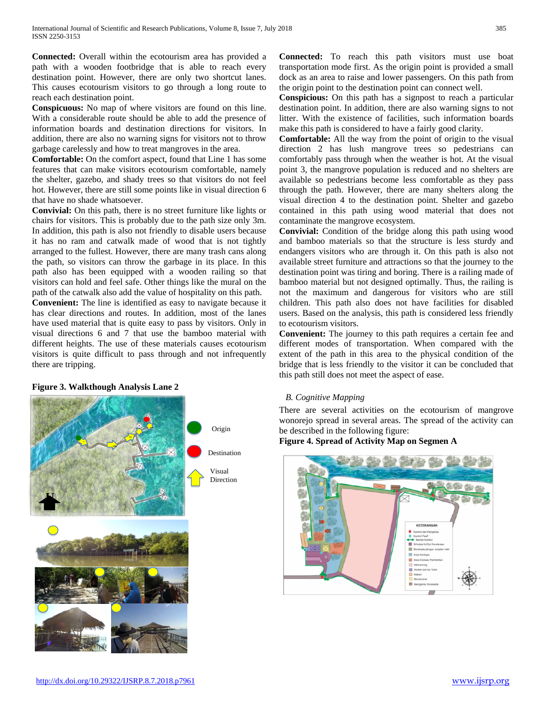**Connected:** Overall within the ecotourism area has provided a path with a wooden footbridge that is able to reach every destination point. However, there are only two shortcut lanes. This causes ecotourism visitors to go through a long route to reach each destination point.

**Conspicuous:** No map of where visitors are found on this line. With a considerable route should be able to add the presence of information boards and destination directions for visitors. In addition, there are also no warning signs for visitors not to throw garbage carelessly and how to treat mangroves in the area.

**Comfortable:** On the comfort aspect, found that Line 1 has some features that can make visitors ecotourism comfortable, namely the shelter, gazebo, and shady trees so that visitors do not feel hot. However, there are still some points like in visual direction 6 that have no shade whatsoever.

**Convivial:** On this path, there is no street furniture like lights or chairs for visitors. This is probably due to the path size only 3m. In addition, this path is also not friendly to disable users because it has no ram and catwalk made of wood that is not tightly arranged to the fullest. However, there are many trash cans along the path, so visitors can throw the garbage in its place. In this path also has been equipped with a wooden railing so that visitors can hold and feel safe. Other things like the mural on the path of the catwalk also add the value of hospitality on this path.

**Convenient:** The line is identified as easy to navigate because it has clear directions and routes. In addition, most of the lanes have used material that is quite easy to pass by visitors. Only in visual directions 6 and 7 that use the bamboo material with different heights. The use of these materials causes ecotourism visitors is quite difficult to pass through and not infrequently there are tripping.

## **Figure 3. Walkthough Analysis Lane 2**



**Connected:** To reach this path visitors must use boat transportation mode first. As the origin point is provided a small dock as an area to raise and lower passengers. On this path from the origin point to the destination point can connect well.

**Conspicious:** On this path has a signpost to reach a particular destination point. In addition, there are also warning signs to not litter. With the existence of facilities, such information boards make this path is considered to have a fairly good clarity.

**Comfortable:** All the way from the point of origin to the visual direction 2 has lush mangrove trees so pedestrians can comfortably pass through when the weather is hot. At the visual point 3, the mangrove population is reduced and no shelters are available so pedestrians become less comfortable as they pass through the path. However, there are many shelters along the visual direction 4 to the destination point. Shelter and gazebo contained in this path using wood material that does not contaminate the mangrove ecosystem.

**Convivial:** Condition of the bridge along this path using wood and bamboo materials so that the structure is less sturdy and endangers visitors who are through it. On this path is also not available street furniture and attractions so that the journey to the destination point was tiring and boring. There is a railing made of bamboo material but not designed optimally. Thus, the railing is not the maximum and dangerous for visitors who are still children. This path also does not have facilities for disabled users. Based on the analysis, this path is considered less friendly to ecotourism visitors.

**Convenient:** The journey to this path requires a certain fee and different modes of transportation. When compared with the extent of the path in this area to the physical condition of the bridge that is less friendly to the visitor it can be concluded that this path still does not meet the aspect of ease.

## *B. Cognitive Mapping*

There are several activities on the ecotourism of mangrove wonorejo spread in several areas. The spread of the activity can be described in the following figure:

**Figure 4. Spread of Activity Map on Segmen A**

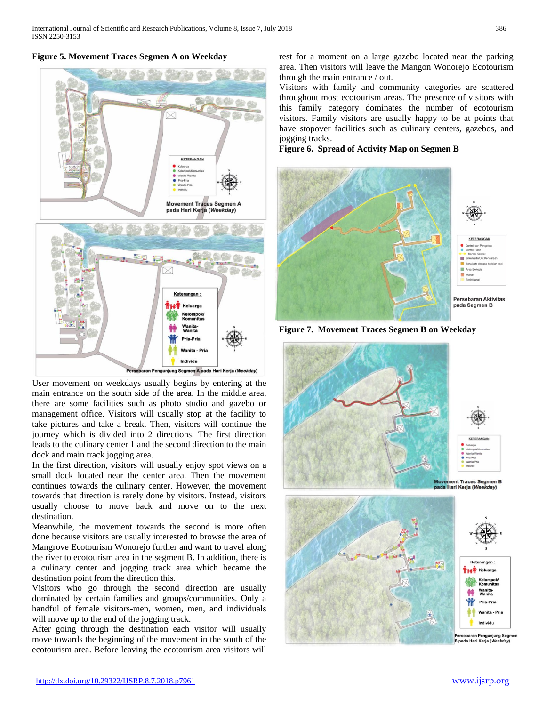## **Figure 5. Movement Traces Segmen A on Weekday**



User movement on weekdays usually begins by entering at the main entrance on the south side of the area. In the middle area, there are some facilities such as photo studio and gazebo or management office. Visitors will usually stop at the facility to take pictures and take a break. Then, visitors will continue the journey which is divided into 2 directions. The first direction leads to the culinary center 1 and the second direction to the main dock and main track jogging area.

In the first direction, visitors will usually enjoy spot views on a small dock located near the center area. Then the movement continues towards the culinary center. However, the movement towards that direction is rarely done by visitors. Instead, visitors usually choose to move back and move on to the next destination.

Meanwhile, the movement towards the second is more often done because visitors are usually interested to browse the area of Mangrove Ecotourism Wonorejo further and want to travel along the river to ecotourism area in the segment B. In addition, there is a culinary center and jogging track area which became the destination point from the direction this.

Visitors who go through the second direction are usually dominated by certain families and groups/communities. Only a handful of female visitors-men, women, men, and individuals will move up to the end of the jogging track.

After going through the destination each visitor will usually move towards the beginning of the movement in the south of the ecotourism area. Before leaving the ecotourism area visitors will rest for a moment on a large gazebo located near the parking area. Then visitors will leave the Mangon Wonorejo Ecotourism through the main entrance / out.

Visitors with family and community categories are scattered throughout most ecotourism areas. The presence of visitors with this family category dominates the number of ecotourism visitors. Family visitors are usually happy to be at points that have stopover facilities such as culinary centers, gazebos, and jogging tracks.

**Figure 6. Spread of Activity Map on Segmen B**



**Figure 7. Movement Traces Segmen B on Weekday**

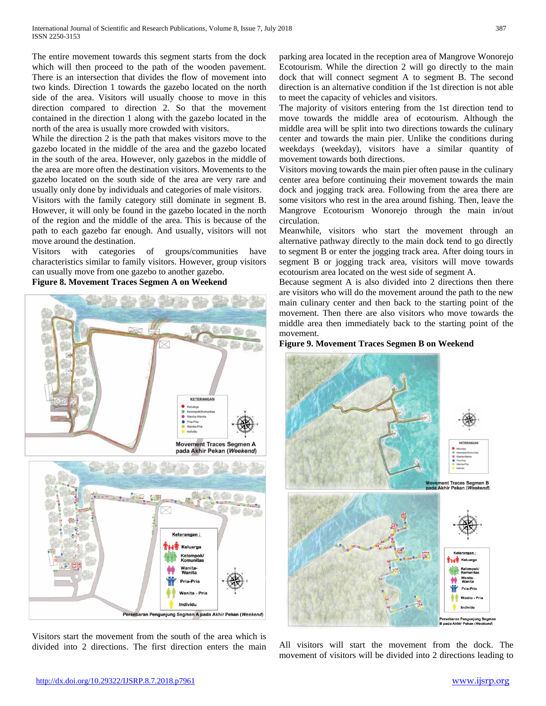The entire movement towards this segment starts from the dock which will then proceed to the path of the wooden pavement. There is an intersection that divides the flow of movement into two kinds. Direction 1 towards the gazebo located on the north side of the area. Visitors will usually choose to move in this direction compared to direction 2. So that the movement contained in the direction 1 along with the gazebo located in the north of the area is usually more crowded with visitors.

While the direction 2 is the path that makes visitors move to the gazebo located in the middle of the area and the gazebo located in the south of the area. However, only gazebos in the middle of the area are more often the destination visitors. Movements to the gazebo located on the south side of the area are very rare and usually only done by individuals and categories of male visitors.

Visitors with the family category still dominate in segment B. However, it will only be found in the gazebo located in the north of the region and the middle of the area. This is because of the path to each gazebo far enough. And usually, visitors will not move around the destination.

Visitors with categories of groups/communities have characteristics similar to family visitors. However, group visitors can usually move from one gazebo to another gazebo.

**Figure 8. Movement Traces Segmen A on Weekend**



Visitors start the movement from the south of the area which is divided into 2 directions. The first direction enters the main parking area located in the reception area of Mangrove Wonorejo Ecotourism. While the direction 2 will go directly to the main dock that will connect segment A to segment B. The second direction is an alternative condition if the 1st direction is not able to meet the capacity of vehicles and visitors.

The majority of visitors entering from the 1st direction tend to move towards the middle area of ecotourism. Although the middle area will be split into two directions towards the culinary center and towards the main pier. Unlike the conditions during weekdays (weekday), visitors have a similar quantity of movement towards both directions.

Visitors moving towards the main pier often pause in the culinary center area before continuing their movement towards the main dock and jogging track area. Following from the area there are some visitors who rest in the area around fishing. Then, leave the Mangrove Ecotourism Wonorejo through the main in/out circulation.

Meanwhile, visitors who start the movement through an alternative pathway directly to the main dock tend to go directly to segment B or enter the jogging track area. After doing tours in segment B or jogging track area, visitors will move towards ecotourism area located on the west side of segment A.

Because segment A is also divided into 2 directions then there are visitors who will do the movement around the path to the new main culinary center and then back to the starting point of the movement. Then there are also visitors who move towards the middle area then immediately back to the starting point of the movement.

### **Figure 9. Movement Traces Segmen B on Weekend**



All visitors will start the movement from the dock. The movement of visitors will be divided into 2 directions leading to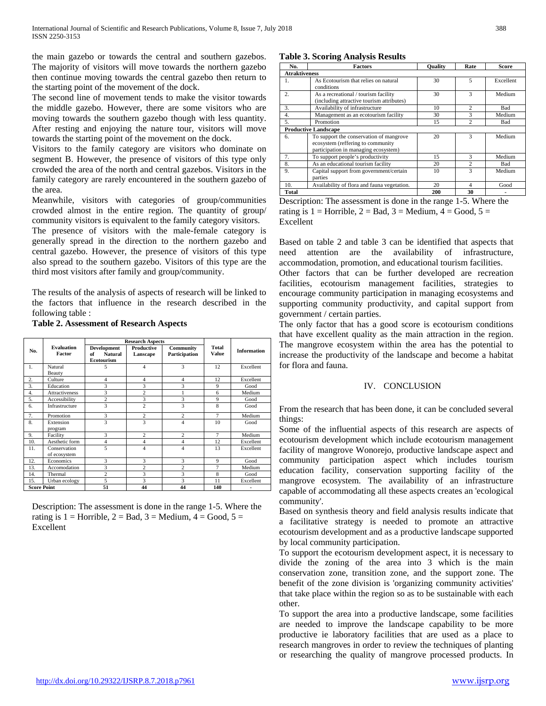the main gazebo or towards the central and southern gazebos. The majority of visitors will move towards the northern gazebo then continue moving towards the central gazebo then return to the starting point of the movement of the dock.

The second line of movement tends to make the visitor towards the middle gazebo. However, there are some visitors who are moving towards the southern gazebo though with less quantity. After resting and enjoying the nature tour, visitors will move towards the starting point of the movement on the dock.

Visitors to the family category are visitors who dominate on segment B. However, the presence of visitors of this type only crowded the area of the north and central gazebos. Visitors in the family category are rarely encountered in the southern gazebo of the area.

Meanwhile, visitors with categories of group/communities crowded almost in the entire region. The quantity of group/ community visitors is equivalent to the family category visitors.

The presence of visitors with the male-female category is generally spread in the direction to the northern gazebo and central gazebo. However, the presence of visitors of this type also spread to the southern gazebo. Visitors of this type are the third most visitors after family and group/community.

The results of the analysis of aspects of research will be linked to the factors that influence in the research described in the following table :<br>Table 2. Assessed

|  | <b>Table 2. Assessment of Research Aspects</b> |  |  |
|--|------------------------------------------------|--|--|
|  |                                                |  |  |

|                    |                              |                                                          | <b>Research Aspects</b> |                            |                |                    |
|--------------------|------------------------------|----------------------------------------------------------|-------------------------|----------------------------|----------------|--------------------|
| No.                | <b>Evaluation</b><br>Factor  | Development<br><b>Natural</b><br>of<br><b>Ecotourism</b> | Productive<br>Lanscape  | Community<br>Participation | Total<br>Value | <b>Information</b> |
| 1.                 | Natural<br>Beauty            | 5                                                        | $\overline{4}$          | 3                          | 12             | Excellent          |
| 2.                 | Culture                      | 4                                                        | $\overline{4}$          | 4                          | 12             | Excellent          |
| 3.                 | Education                    | 3                                                        | 3                       | $\overline{3}$             | 9              | Good               |
| 4.                 | <b>Attractiveness</b>        | 3                                                        | 2                       |                            | 6              | Medium             |
| 5.                 | Accessibility                | 2                                                        | 3                       | 3                          | 9              | Good               |
| 6.                 | Infrastructure               | 3                                                        | $\overline{c}$          | 3                          | 8              | Good               |
| 7.                 | Promotion                    | 3                                                        | 2                       | 2                          | $\overline{7}$ | Medium             |
| 8.                 | Extension<br>program         | 3                                                        | 3                       | 4                          | 10             | Good               |
| 9.                 | Facility                     | 3                                                        | $\overline{c}$          | 2                          | 7              | Medium             |
| 10.                | Aesthetic form               | $\overline{4}$                                           | $\overline{4}$          | 4                          | 12             | Excellent          |
| 11.                | Conservation<br>of ecosystem | 5                                                        | $\overline{4}$          | 4                          | 13             | Excellent          |
| 12.                | Economics                    | 3                                                        | 3                       | 3                          | 9              | Good               |
| 13.                | Accomodation                 | 3                                                        | $\overline{c}$          | $\overline{c}$             | 7              | Medium             |
| 14.                | Thermal                      | $\overline{c}$                                           | 3                       | 3                          | 8              | Good               |
| 15.                | Urban ecology                | 5                                                        | 3                       | 3                          | 11             | Excellent          |
| <b>Score Point</b> |                              | 51                                                       | 44                      | 44                         | 140            | ٠                  |

Description: The assessment is done in the range 1-5. Where the rating is  $1 =$  Horrible,  $2 =$  Bad,  $3 =$  Medium,  $4 =$  Good,  $5 =$ Excellent

### **Table 3. Scoring Analysis Results**

| No.                  | <b>Factors</b>                                                                                                       | <b>Ouality</b> | Rate                     | Score     |  |  |
|----------------------|----------------------------------------------------------------------------------------------------------------------|----------------|--------------------------|-----------|--|--|
| <b>Atraktiveness</b> |                                                                                                                      |                |                          |           |  |  |
| 1.                   | As Ecotourism that relies on natural<br>conditions                                                                   | 30             | 5                        | Excellent |  |  |
| $\overline{2}$ .     | As a recreational / tourism facility<br>(including attractive tourism attributes)                                    | 30             | 3                        | Medium    |  |  |
| 3.                   | Availability of infrastructure                                                                                       | 10             | $\overline{c}$           | Bad       |  |  |
| 4.                   | Management as an ecotourism facility                                                                                 | 30             | 3                        | Medium    |  |  |
| 5.                   | Promotion                                                                                                            |                | $\overline{c}$           | Bad       |  |  |
|                      | <b>Productive Landscape</b>                                                                                          |                |                          |           |  |  |
| 6.                   | To support the conservation of mangrove<br>ecosystem (reffering to community<br>participation in managing ecosystem) | 20             | 3                        | Medium    |  |  |
| 7.                   | To support people's productivity                                                                                     | 15             | 3                        | Medium    |  |  |
| 8.                   | As an educational tourism facility                                                                                   | 20             | $\overline{c}$           | Bad       |  |  |
| 9.                   | Capital support from government/certain<br>parties                                                                   | 10             | 3                        | Medium    |  |  |
| 10.                  | Availability of flora and fauna vegetation.                                                                          | 20             | $\overline{\mathcal{A}}$ | Good      |  |  |
| Total                |                                                                                                                      | 200            | 30                       |           |  |  |

Description: The assessment is done in the range 1-5. Where the rating is  $1 =$  Horrible,  $2 =$  Bad,  $3 =$  Medium,  $4 =$  Good,  $5 =$ Excellent

Based on table 2 and table 3 can be identified that aspects that need attention are the availability of infrastructure, accommodation, promotion, and educational tourism facilities.

Other factors that can be further developed are recreation facilities, ecotourism management facilities, strategies to encourage community participation in managing ecosystems and supporting community productivity, and capital support from government / certain parties.

The only factor that has a good score is ecotourism conditions that have excellent quality as the main attraction in the region. The mangrove ecosystem within the area has the potential to increase the productivity of the landscape and become a habitat for flora and fauna.

### IV. CONCLUSION

From the research that has been done, it can be concluded several things:

Some of the influential aspects of this research are aspects of ecotourism development which include ecotourism management facility of mangrove Wonorejo, productive landscape aspect and community participation aspect which includes tourism education facility, conservation supporting facility of the mangrove ecosystem. The availability of an infrastructure capable of accommodating all these aspects creates an 'ecological community'.

Based on synthesis theory and field analysis results indicate that a facilitative strategy is needed to promote an attractive ecotourism development and as a productive landscape supported by local community participation.

To support the ecotourism development aspect, it is necessary to divide the zoning of the area into 3 which is the main conservation zone, transition zone, and the support zone. The benefit of the zone division is 'organizing community activities' that take place within the region so as to be sustainable with each other.

To support the area into a productive landscape, some facilities are needed to improve the landscape capability to be more productive ie laboratory facilities that are used as a place to research mangroves in order to review the techniques of planting or researching the quality of mangrove processed products. In